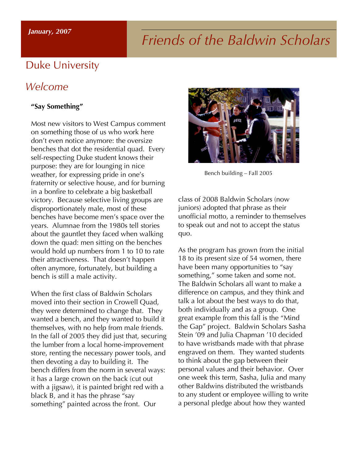#### *January, 2007*

# *Friends of the Baldwin Scholars*

#### Duke University

#### *Welcome*

#### **"Say Something"**

Most new visitors to West Campus comment on something those of us who work here don't even notice anymore: the oversize benches that dot the residential quad. Every self-respecting Duke student knows their purpose: they are for lounging in nice weather, for expressing pride in one's fraternity or selective house, and for burning in a bonfire to celebrate a big basketball victory. Because selective living groups are disproportionately male, most of these benches have become men's space over the years. Alumnae from the 1980s tell stories about the gauntlet they faced when walking down the quad: men sitting on the benches would hold up numbers from 1 to 10 to rate their attractiveness. That doesn't happen often anymore, fortunately, but building a bench is still a male activity.

When the first class of Baldwin Scholars moved into their section in Crowell Quad, they were determined to change that. They wanted a bench, and they wanted to build it themselves, with no help from male friends. In the fall of 2005 they did just that, securing the lumber from a local home-improvement store, renting the necessary power tools, and then devoting a day to building it. The bench differs from the norm in several ways: it has a large crown on the back (cut out with a jigsaw), it is painted bright red with a black B, and it has the phrase "say something" painted across the front. Our



Bench building – Fall 2005

class of 2008 Baldwin Scholars (now juniors) adopted that phrase as their unofficial motto, a reminder to themselves to speak out and not to accept the status quo.

As the program has grown from the initial 18 to its present size of 54 women, there have been many opportunities to "say something," some taken and some not. The Baldwin Scholars all want to make a difference on campus, and they think and talk a lot about the best ways to do that, both individually and as a group. One great example from this fall is the "Mind the Gap" project. Baldwin Scholars Sasha Stein '09 and Julia Chapman '10 decided to have wristbands made with that phrase engraved on them. They wanted students to think about the gap between their personal values and their behavior. Over one week this term, Sasha, Julia and many other Baldwins distributed the wristbands to any student or employee willing to write a personal pledge about how they wanted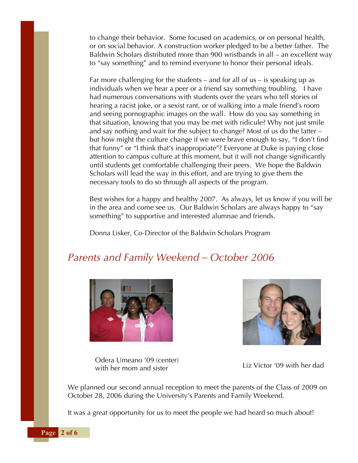to change their behavior. Some focused on academics, or on personal health, or on social behavior. A construction worker pledged to be a better father. The Baldwin Scholars distributed more than 900 wristbands in all – an excellent way to "say something" and to remind everyone to honor their personal ideals.

Far more challenging for the students – and for all of us – is speaking up as individuals when we hear a peer or a friend say something troubling. I have had numerous conversations with students over the years who tell stories of hearing a racist joke, or a sexist rant, or of walking into a male friend's room and seeing pornographic images on the wall. How do you say something in that situation, knowing that you may be met with ridicule? Why not just smile and say nothing and wait for the subject to change? Most of us do the latter – but how might the culture change if we were brave enough to say, "I don't find that funny" or "I think that's inappropriate"? Everyone at Duke is paying close attention to campus culture at this moment, but it will not change significantly until students get comfortable challenging their peers. We hope the Baldwin Scholars will lead the way in this effort, and are trying to give them the necessary tools to do so through all aspects of the program.

Best wishes for a happy and healthy 2007. As always, let us know if you will be in the area and come see us. Our Baldwin Scholars are always happy to "say something" to supportive and interested alumnae and friends.

Donna Lisker, Co-Director of the Baldwin Scholars Program

# *Parents and Family Weekend – October 2006*





Odera Umeano '09 (center)<br>
Liz Victor '09 with her dad with her mom and sister

We planned our second annual reception to meet the parents of the Class of 2009 on October 28, 2006 during the University's Parents and Family Weekend.

It was a great opportunity for us to meet the people we had heard so much about!

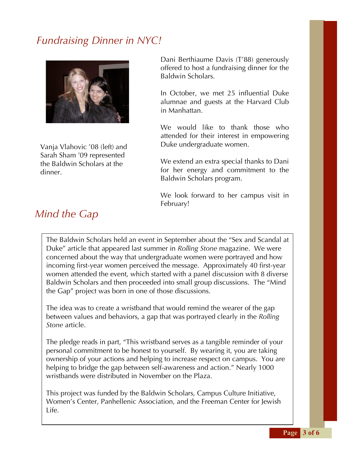# *Fundraising Dinner in NYC!*



Vanja Vlahovic '08 (left) and Sarah Sham '09 represented the Baldwin Scholars at the dinner.

Dani Berthiaume Davis (T'88) generously offered to host a fundraising dinner for the Baldwin Scholars.

In October, we met 25 influential Duke alumnae and guests at the Harvard Club in Manhattan.

We would like to thank those who attended for their interest in empowering Duke undergraduate women.

We extend an extra special thanks to Dani for her energy and commitment to the Baldwin Scholars program.

We look forward to her campus visit in February!

The Baldwin Scholars held an event in September about the "Sex and Scandal at Duke" article that appeared last summer in *Rolling Stone* magazine. We were concerned about the way that undergraduate women were portrayed and how incoming first-year women perceived the message. Approximately 40 first-year women attended the event, which started with a panel discussion with 8 diverse Baldwin Scholars and then proceeded into small group discussions. The "Mind the Gap" project was born in one of those discussions.

The idea was to create a wristband that would remind the wearer of the gap between values and behaviors, a gap that was portrayed clearly in the *Rolling Stone* article.

The pledge reads in part, "This wristband serves as a tangible reminder of your personal commitment to be honest to yourself. By wearing it, you are taking ownership of your actions and helping to increase respect on campus. You are helping to bridge the gap between self-awareness and action." Nearly 1000 wristbands were distributed in November on the Plaza.

This project was funded by the Baldwin Scholars, Campus Culture Initiative, Women's Center, Panhellenic Association, and the Freeman Center for Jewish Life.

### *Mind the Gap*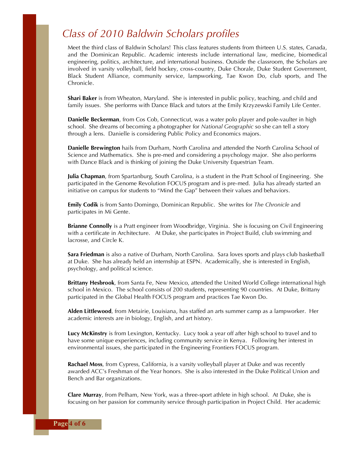#### *Class of 2010 Baldwin Scholars profiles*

Meet the third class of Baldwin Scholars! This class features students from thirteen U.S. states, Canada, and the Dominican Republic. Academic interests include international law, medicine, biomedical engineering, politics, architecture, and international business. Outside the classroom, the Scholars are involved in varsity volleyball, field hockey, cross-country, Duke Chorale, Duke Student Government, Black Student Alliance, community service, lampworking, Tae Kwon Do, club sports, and The Chronicle.

**Shari Baker** is from Wheaton, Maryland. She is interested in public policy, teaching, and child and family issues. She performs with Dance Black and tutors at the Emily Krzyzewski Family Life Center.

**Danielle Beckerman**, from Cos Cob, Connecticut, was a water polo player and pole-vaulter in high school. She dreams of becoming a photographer for *National Geographic* so she can tell a story through a lens. Danielle is considering Public Policy and Economics majors.

**Danielle Brewington** hails from Durham, North Carolina and attended the North Carolina School of Science and Mathematics. She is pre-med and considering a psychology major. She also performs with Dance Black and is thinking of joining the Duke University Equestrian Team.

**Julia Chapman**, from Spartanburg, South Carolina, is a student in the Pratt School of Engineering. She participated in the Genome Revolution FOCUS program and is pre-med. Julia has already started an initiative on campus for students to "Mind the Gap" between their values and behaviors.

**Emily Codik** is from Santo Domingo, Dominican Republic. She writes for *The Chronicle* and participates in Mi Gente.

**Brianne Connolly** is a Pratt engineer from Woodbridge, Virginia. She is focusing on Civil Engineering with a certificate in Architecture. At Duke, she participates in Project Build, club swimming and lacrosse, and Circle K.

**Sara Friedman** is also a native of Durham, North Carolina. Sara loves sports and plays club basketball at Duke. She has already held an internship at ESPN. Academically, she is interested in English, psychology, and political science.

**Brittany Hesbrook**, from Santa Fe, New Mexico, attended the United World College international high school in Mexico. The school consists of 200 students, representing 90 countries. At Duke, Brittany participated in the Global Health FOCUS program and practices Tae Kwon Do.

**Alden Littlewood**, from Metairie, Louisiana, has staffed an arts summer camp as a lampworker. Her academic interests are in biology, English, and art history.

**Lucy McKinstry** is from Lexington, Kentucky. Lucy took a year off after high school to travel and to have some unique experiences, including community service in Kenya. Following her interest in environmental issues, she participated in the Engineering Frontiers FOCUS program.

**Rachael Moss**, from Cypress, California, is a varsity volleyball player at Duke and was recently awarded ACC's Freshman of the Year honors. She is also interested in the Duke Political Union and Bench and Bar organizations.

**Clare Murray**, from Pelham, New York, was a three-sport athlete in high school. At Duke, she is focusing on her passion for community service through participation in Project Child. Her academic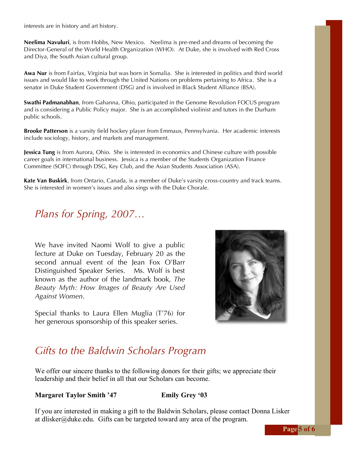interests are in history and art history.

**Neelima Navuluri**, is from Hobbs, New Mexico. Neelima is pre-med and dreams of becoming the Director-General of the World Health Organization (WHO). At Duke, she is involved with Red Cross and Diya, the South Asian cultural group.

**Awa Nur** is from Fairfax, Virginia but was born in Somalia. She is interested in politics and third world issues and would like to work through the United Nations on problems pertaining to Africa. She is a senator in Duke Student Government (DSG) and is involved in Black Student Alliance (BSA).

**Swathi Padmanabhan**, from Gahanna, Ohio, participated in the Genome Revolution FOCUS program and is considering a Public Policy major. She is an accomplished violinist and tutors in the Durham public schools.

**Brooke Patterson** is a varsity field hockey player from Emmaus, Pennsylvania. Her academic interests include sociology, history, and markets and management.

**Jessica Tung** is from Aurora, Ohio. She is interested in economics and Chinese culture with possible career goals in international business. Jessica is a member of the Students Organization Finance Committee (SOFC) through DSG, Key Club, and the Asian Students Association (ASA).

**Kate Van Buskirk**, from Ontario, Canada, is a member of Duke's varsity cross-country and track teams. She is interested in women's issues and also sings with the Duke Chorale.

### *Plans for Spring, 2007…*

We have invited Naomi Wolf to give a public lecture at Duke on Tuesday, February 20 as the second annual event of the Jean Fox O'Barr Distinguished Speaker Series. Ms. Wolf is best known as the author of the landmark book, *The Beauty Myth: How Images of Beauty Are Used Against Women*.

Special thanks to Laura Ellen Muglia (T'76) for her generous sponsorship of this speaker series.



### *Gifts to the Baldwin Scholars Program*

We offer our sincere thanks to the following donors for their gifts; we appreciate their leadership and their belief in all that our Scholars can become.

#### **Margaret Taylor Smith '47 Emily Grey '03**

If you are interested in making a gift to the Baldwin Scholars, please contact Donna Lisker at dlisker@duke.edu. Gifts can be targeted toward any area of the program.